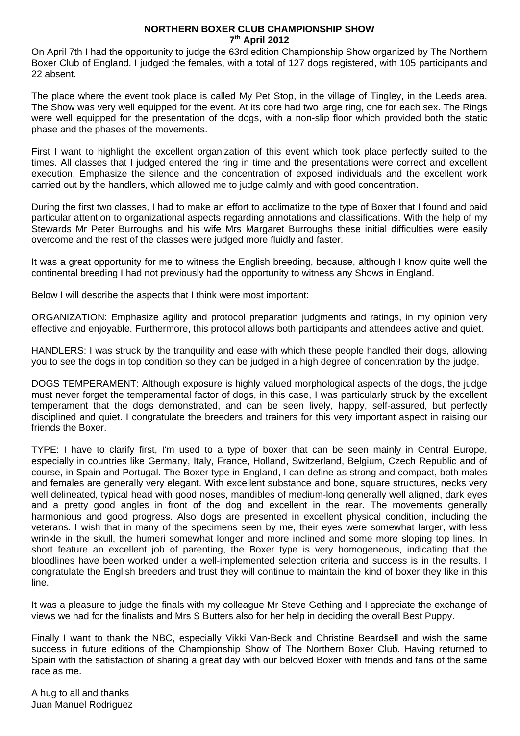## **NORTHERN BOXER CLUB CHAMPIONSHIP SHOW 7th April 2012**

On April 7th I had the opportunity to judge the 63rd edition Championship Show organized by The Northern Boxer Club of England. I judged the females, with a total of 127 dogs registered, with 105 participants and 22 absent.

The place where the event took place is called My Pet Stop, in the village of Tingley, in the Leeds area. The Show was very well equipped for the event. At its core had two large ring, one for each sex. The Rings were well equipped for the presentation of the dogs, with a non-slip floor which provided both the static phase and the phases of the movements.

First I want to highlight the excellent organization of this event which took place perfectly suited to the times. All classes that I judged entered the ring in time and the presentations were correct and excellent execution. Emphasize the silence and the concentration of exposed individuals and the excellent work carried out by the handlers, which allowed me to judge calmly and with good concentration.

During the first two classes, I had to make an effort to acclimatize to the type of Boxer that I found and paid particular attention to organizational aspects regarding annotations and classifications. With the help of my Stewards Mr Peter Burroughs and his wife Mrs Margaret Burroughs these initial difficulties were easily overcome and the rest of the classes were judged more fluidly and faster.

It was a great opportunity for me to witness the English breeding, because, although I know quite well the continental breeding I had not previously had the opportunity to witness any Shows in England.

Below I will describe the aspects that I think were most important:

ORGANIZATION: Emphasize agility and protocol preparation judgments and ratings, in my opinion very effective and enjoyable. Furthermore, this protocol allows both participants and attendees active and quiet.

HANDLERS: I was struck by the tranquility and ease with which these people handled their dogs, allowing you to see the dogs in top condition so they can be judged in a high degree of concentration by the judge.

DOGS TEMPERAMENT: Although exposure is highly valued morphological aspects of the dogs, the judge must never forget the temperamental factor of dogs, in this case, I was particularly struck by the excellent temperament that the dogs demonstrated, and can be seen lively, happy, self-assured, but perfectly disciplined and quiet. I congratulate the breeders and trainers for this very important aspect in raising our friends the Boxer.

TYPE: I have to clarify first, I'm used to a type of boxer that can be seen mainly in Central Europe, especially in countries like Germany, Italy, France, Holland, Switzerland, Belgium, Czech Republic and of course, in Spain and Portugal. The Boxer type in England, I can define as strong and compact, both males and females are generally very elegant. With excellent substance and bone, square structures, necks very well delineated, typical head with good noses, mandibles of medium-long generally well aligned, dark eyes and a pretty good angles in front of the dog and excellent in the rear. The movements generally harmonious and good progress. Also dogs are presented in excellent physical condition, including the veterans. I wish that in many of the specimens seen by me, their eyes were somewhat larger, with less wrinkle in the skull, the humeri somewhat longer and more inclined and some more sloping top lines. In short feature an excellent job of parenting, the Boxer type is very homogeneous, indicating that the bloodlines have been worked under a well-implemented selection criteria and success is in the results. I congratulate the English breeders and trust they will continue to maintain the kind of boxer they like in this line.

It was a pleasure to judge the finals with my colleague Mr Steve Gething and I appreciate the exchange of views we had for the finalists and Mrs S Butters also for her help in deciding the overall Best Puppy.

Finally I want to thank the NBC, especially Vikki Van-Beck and Christine Beardsell and wish the same success in future editions of the Championship Show of The Northern Boxer Club. Having returned to Spain with the satisfaction of sharing a great day with our beloved Boxer with friends and fans of the same race as me.

A hug to all and thanks Juan Manuel Rodriguez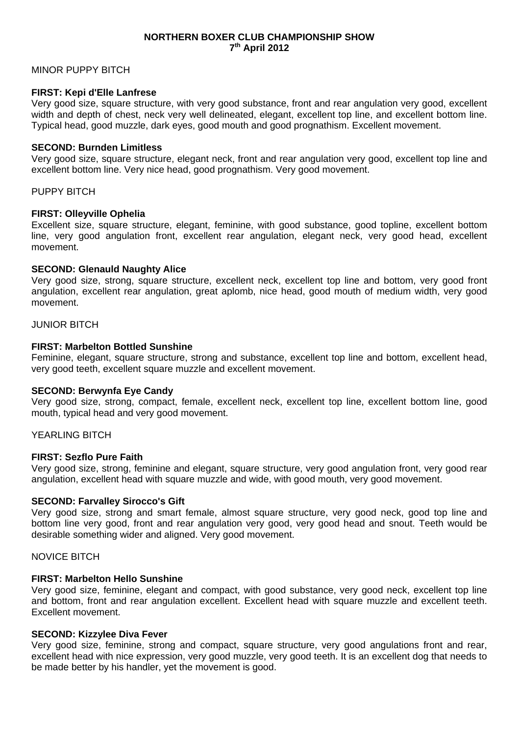## **NORTHERN BOXER CLUB CHAMPIONSHIP SHOW 7th April 2012**

## MINOR PUPPY BITCH

## **FIRST: Kepi d'Elle Lanfrese**

Very good size, square structure, with very good substance, front and rear angulation very good, excellent width and depth of chest, neck very well delineated, elegant, excellent top line, and excellent bottom line. Typical head, good muzzle, dark eyes, good mouth and good prognathism. Excellent movement.

### **SECOND: Burnden Limitless**

Very good size, square structure, elegant neck, front and rear angulation very good, excellent top line and excellent bottom line. Very nice head, good prognathism. Very good movement.

#### PUPPY BITCH

#### **FIRST: Olleyville Ophelia**

Excellent size, square structure, elegant, feminine, with good substance, good topline, excellent bottom line, very good angulation front, excellent rear angulation, elegant neck, very good head, excellent movement.

### **SECOND: Glenauld Naughty Alice**

Very good size, strong, square structure, excellent neck, excellent top line and bottom, very good front angulation, excellent rear angulation, great aplomb, nice head, good mouth of medium width, very good movement.

## JUNIOR BITCH

### **FIRST: Marbelton Bottled Sunshine**

Feminine, elegant, square structure, strong and substance, excellent top line and bottom, excellent head, very good teeth, excellent square muzzle and excellent movement.

### **SECOND: Berwynfa Eye Candy**

Very good size, strong, compact, female, excellent neck, excellent top line, excellent bottom line, good mouth, typical head and very good movement.

## YEARLING BITCH

## **FIRST: Sezflo Pure Faith**

Very good size, strong, feminine and elegant, square structure, very good angulation front, very good rear angulation, excellent head with square muzzle and wide, with good mouth, very good movement.

### **SECOND: Farvalley Sirocco's Gift**

Very good size, strong and smart female, almost square structure, very good neck, good top line and bottom line very good, front and rear angulation very good, very good head and snout. Teeth would be desirable something wider and aligned. Very good movement.

#### NOVICE BITCH

## **FIRST: Marbelton Hello Sunshine**

Very good size, feminine, elegant and compact, with good substance, very good neck, excellent top line and bottom, front and rear angulation excellent. Excellent head with square muzzle and excellent teeth. Excellent movement.

## **SECOND: Kizzylee Diva Fever**

Very good size, feminine, strong and compact, square structure, very good angulations front and rear, excellent head with nice expression, very good muzzle, very good teeth. It is an excellent dog that needs to be made better by his handler, yet the movement is good.